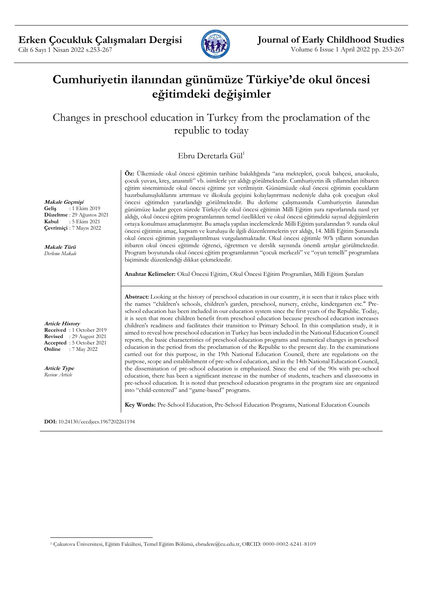

# **Cumhuriyetin ilanından günümüze Türkiye'de okul öncesi eğitimdeki değişimler**

## Changes in preschool education in Turkey from the proclamation of the republic to today

## Ebru Deretarla Gül<sup>1</sup>

çocuk yuvası, kreş, anasınıfı" vb. isimlerle yer aldığı görülmektedir. Cumhuriyetin ilk yıllarından itibaren eğitim sistemimizde okul öncesi eğitime yer verilmiştir. Günümüzde okul öncesi eğitimin çocukların hazırbulunuşluklarını artırması ve ilkokula geçişini kolaylaştırması nedeniyle daha çok çocuğun okul öncesi eğitimden yararlandığı görülmektedir. Bu derleme çalışmasında Cumhuriyetin ilanından günümüze kadar geçen sürede Türkiye'de okul öncesi eğitimin Milli Eğitim şura raporlarında nasıl yer aldığı, okul öncesi eğitim programlarının temel özellikleri ve okul öncesi eğitimdeki sayısal değişimlerin ortaya konulması amaçlanmıştır. Bu amaçla yapılan incelemelerde Milli Eğitim şuralarından 9. sunda okul öncesi eğitimin amaç, kapsam ve kuruluşu ile ilgili düzenlenmelerin yer aldığı, 14. Milli Eğitim Şurasında okul öncesi eğitimin yaygınlaştırılması vurgulanmaktadır. Okul öncesi eğitimle 90'lı yılların sonundan itibaren okul öncesi eğitimde öğrenci, öğretmen ve derslik sayısında önemli artışlar görülmektedir. Program boyutunda okul öncesi eğitim programlarının "çocuk merkezli" ve "oyun temelli" programlara biçiminde düzenlendiği dikkat çekmektedir.

**Öz:** Ülkemizde okul öncesi eğitimin tarihine bakıldığında "ana mektepleri, çocuk bahçesi, anaokulu,

**Anahtar Kelimeler:** Okul Öncesi Eğitim, Okul Öncesi Eğitim Programları, Milli Eğitim Şuraları

**Abstract:** Looking at the history of preschool education in our country, it is seen that it takes place with the names "children's schools, children's garden, preschool, nursery, crèche, kindergarten etc." Preschool education has been included in our education system since the first years of the Republic. Today, it is seen that more children benefit from preschool education because preschool education increases children's readiness and facilitates their transition to Primary School. In this compilation study, it is aimed to reveal how preschool education in Turkey has been included in the National Education Council reports, the basic characteristics of preschool education programs and numerical changes in preschool education in the period from the proclamation of the Republic to the present day. In the examinations carried out for this purpose, in the 19th National Education Council, there are regulations on the purpose, scope and establishment of pre-school education, and in the 14th National Education Council, the dissemination of pre-school education is emphasized. Since the end of the 90s with pre-school education, there has been a significant increase in the number of students, teachers and classrooms in pre-school education. It is noted that preschool education programs in the program size are organized into "child-centered" and "game-based" programs.

**Key Words:** Pre-School Education, Pre-School Education Programs, National Education Councils

**DOI:** 10.24130/eccdjecs.1967202261194

**Makale Geçmişi Geliş** : 1 Ekim 2019

**Düzeltme** : 29 Ağustos 2021<br>**Kabul** : 5 Ekim 2021 **Kabul** : 5 Ekim 2021 **Çevrimiçi** : 7 Mayıs 2022

**Makale Türü** *Derleme Makale*

**Article History**

**Received** : 1 October 2019 **Revised** : 29 August 2021 **Accepted** : 5 October 2021 **Online** : 7 May 2022

**Article Type** *Review Article*

<sup>1</sup> Çukurova Üniversitesi, Eğitim Fakültesi, Temel Eğitim Bölümü, ebrudere@cu.edu.tr, ORCID: 0000-0002-6241-8109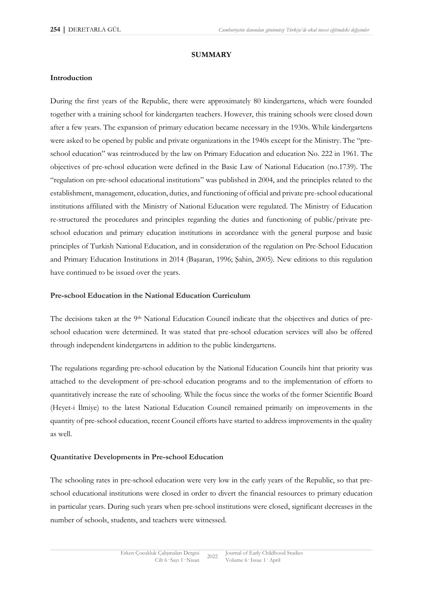#### **SUMMARY**

#### **Introduction**

During the first years of the Republic, there were approximately 80 kindergartens, which were founded together with a training school for kindergarten teachers. However, this training schools were closed down after a few years. The expansion of primary education became necessary in the 1930s. While kindergartens were asked to be opened by public and private organizations in the 1940s except for the Ministry. The "preschool education" was reintroduced by the law on Primary Education and education No. 222 in 1961. The objectives of pre-school education were defined in the Basic Law of National Education (no.1739). The "regulation on pre-school educational institutions" was published in 2004, and the principles related to the establishment, management, education, duties, and functioning of official and private pre-school educational institutions affiliated with the Ministry of National Education were regulated. The Ministry of Education re-structured the procedures and principles regarding the duties and functioning of public/private preschool education and primary education institutions in accordance with the general purpose and basic principles of Turkish National Education, and in consideration of the regulation on Pre-School Education and Primary Education Institutions in 2014 (Başaran, 1996; Şahin, 2005). New editions to this regulation have continued to be issued over the years.

#### **Pre-school Education in the National Education Curriculum**

The decisions taken at the 9<sup>th</sup> National Education Council indicate that the objectives and duties of preschool education were determined. It was stated that pre-school education services will also be offered through independent kindergartens in addition to the public kindergartens.

The regulations regarding pre-school education by the National Education Councils hint that priority was attached to the development of pre-school education programs and to the implementation of efforts to quantitatively increase the rate of schooling. While the focus since the works of the former Scientific Board (Heyet-i İlmiye) to the latest National Education Council remained primarily on improvements in the quantity of pre-school education, recent Council efforts have started to address improvements in the quality as well.

#### **Quantitative Developments in Pre-school Education**

The schooling rates in pre-school education were very low in the early years of the Republic, so that preschool educational institutions were closed in order to divert the financial resources to primary education in particular years. During such years when pre-school institutions were closed, significant decreases in the number of schools, students, and teachers were witnessed.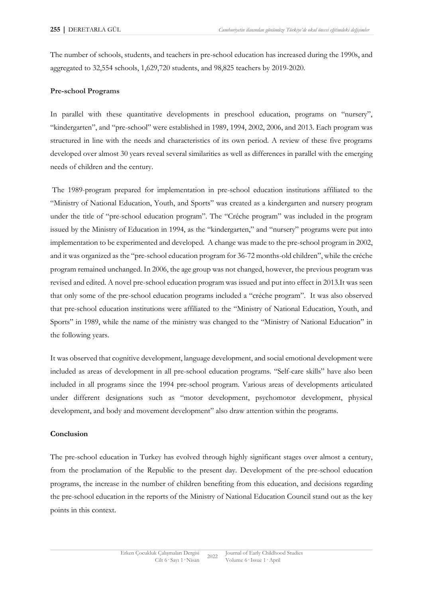The number of schools, students, and teachers in pre-school education has increased during the 1990s, and aggregated to 32,554 schools, 1,629,720 students, and 98,825 teachers by 2019-2020.

#### **Pre-school Programs**

In parallel with these quantitative developments in preschool education, programs on "nursery", "kindergarten", and "pre-school" were established in 1989, 1994, 2002, 2006, and 2013. Each program was structured in line with the needs and characteristics of its own period. A review of these five programs developed over almost 30 years reveal several similarities as well as differences in parallel with the emerging needs of children and the century.

The 1989-program prepared for implementation in pre-school education institutions affiliated to the "Ministry of National Education, Youth, and Sports" was created as a kindergarten and nursery program under the title of "pre-school education program". The "Créche program" was included in the program issued by the Ministry of Education in 1994, as the "kindergarten," and "nursery" programs were put into implementation to be experimented and developed. A change was made to the pre-school program in 2002, and it was organized as the "pre-school education program for 36-72 months-old children", while the créche program remained unchanged. In 2006, the age group was not changed, however, the previous program was revised and edited. A novel pre-school education program was issued and put into effect in 2013.It was seen that only some of the pre-school education programs included a "créche program". It was also observed that pre-school education institutions were affiliated to the "Ministry of National Education, Youth, and Sports" in 1989, while the name of the ministry was changed to the "Ministry of National Education" in the following years.

It was observed that cognitive development, language development, and social emotional development were included as areas of development in all pre-school education programs. "Self-care skills" have also been included in all programs since the 1994 pre-school program. Various areas of developments articulated under different designations such as "motor development, psychomotor development, physical development, and body and movement development" also draw attention within the programs.

#### **Conclusion**

The pre-school education in Turkey has evolved through highly significant stages over almost a century, from the proclamation of the Republic to the present day. Development of the pre-school education programs, the increase in the number of children benefiting from this education, and decisions regarding the pre-school education in the reports of the Ministry of National Education Council stand out as the key points in this context.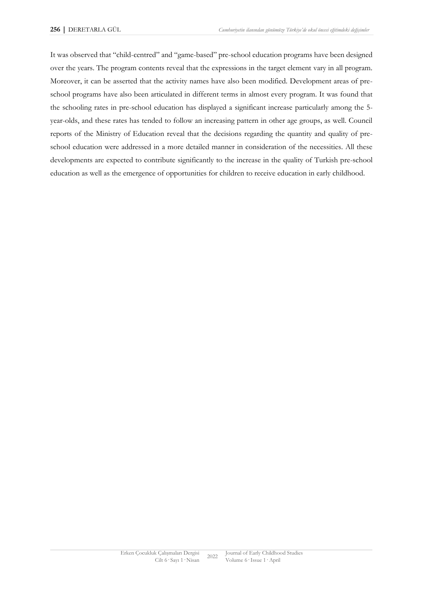It was observed that "child-centred" and "game-based" pre-school education programs have been designed over the years. The program contents reveal that the expressions in the target element vary in all program. Moreover, it can be asserted that the activity names have also been modified. Development areas of preschool programs have also been articulated in different terms in almost every program. It was found that the schooling rates in pre-school education has displayed a significant increase particularly among the 5 year-olds, and these rates has tended to follow an increasing pattern in other age groups, as well. Council reports of the Ministry of Education reveal that the decisions regarding the quantity and quality of preschool education were addressed in a more detailed manner in consideration of the necessities. All these developments are expected to contribute significantly to the increase in the quality of Turkish pre-school education as well as the emergence of opportunities for children to receive education in early childhood.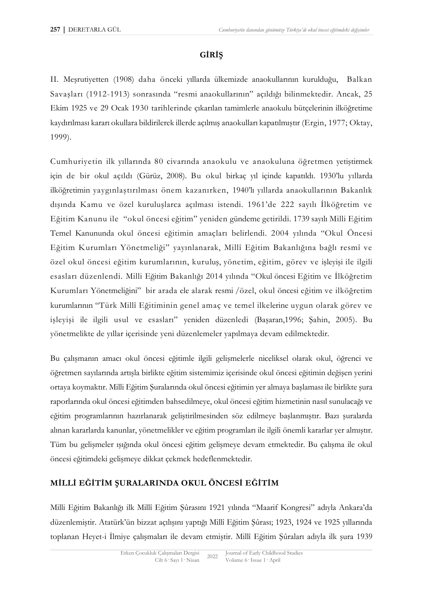## **GİRİŞ**

II. Meşrutiyetten (1908) daha önceki yıllarda ülkemizde anaokullarının kurulduğu, Balkan Savaşları (1912-1913) sonrasında "resmi anaokullarının" açıldığı bilinmektedir. Ancak, 25 Ekim 1925 ve 29 Ocak 1930 tarihlerinde çıkarılan tamimlerle anaokulu bütçelerinin ilköğretime kaydırılması kararı okullara bildirilerek illerde açılmış anaokulları kapatılmıştır (Ergin, 1977; Oktay, 1999).

Cumhuriyetin ilk yıllarında 80 civarında anaokulu ve anaokuluna öğretmen yetiştirmek için de bir okul açıldı (Gürüz, 2008). Bu okul birkaç yıl içinde kapatıldı. 1930'lu yıllarda ilköğretimin yaygınlaştırılması önem kazanırken, 1940'lı yıllarda anaokullarının Bakanlık dışında Kamu ve özel kuruluşlarca açılması istendi. 1961'de 222 sayılı İlköğretim ve Eğitim Kanunu ile "okul öncesi eğitim" yeniden gündeme getirildi. 1739 sayılı Milli Eğitim Temel Kanununda okul öncesi eğitimin amaçları belirlendi. 2004 yılında "Okul Öncesi Eğitim Kurumları Yönetmeliği" yayınlanarak, Millî Eğitim Bakanlığına bağlı resmî ve özel okul öncesi eğitim kurumlarının, kuruluş, yönetim, eğitim, görev ve işleyişi ile ilgili esasları düzenlendi. Milli Eğitim Bakanlığı 2014 yılında "Okul öncesi Eğitim ve İlköğretim Kurumları Yönetmeliğini" bir arada ele alarak resmi /özel, okul öncesi eğitim ve ilköğretim kurumlarının "Türk Millî Eğitiminin genel amaç ve temel ilkelerine uygun olarak görev ve işleyişi ile ilgili usul ve esasları" yeniden düzenledi (Başaran,1996; Şahin, 2005). Bu yönetmelikte de yıllar içerisinde yeni düzenlemeler yapılmaya devam edilmektedir.

Bu çalışmanın amacı okul öncesi eğitimle ilgili gelişmelerle niceliksel olarak okul, öğrenci ve öğretmen sayılarında artışla birlikte eğitim sistemimiz içerisinde okul öncesi eğitimin değişen yerini ortaya koymaktır. Milli Eğitim Şuralarında okul öncesi eğitimin yer almaya başlaması ile birlikte şura raporlarında okul öncesi eğitimden bahsedilmeye, okul öncesi eğitim hizmetinin nasıl sunulacağı ve eğitim programlarının hazırlanarak geliştirilmesinden söz edilmeye başlanmıştır. Bazı şuralarda alınan kararlarda kanunlar, yönetmelikler ve eğitim programları ile ilgili önemli kararlar yer almıştır. Tüm bu gelişmeler ışığında okul öncesi eğitim gelişmeye devam etmektedir. Bu çalışma ile okul öncesi eğitimdeki gelişmeye dikkat çekmek hedeflenmektedir.

## **MİLLİ EĞİTİM ŞURALARINDA OKUL ÖNCESİ EĞİTİM**

Milli Eğitim Bakanlığı ilk Millî Eğitim Şûrasını 1921 yılında "Maarif Kongresi" adıyla Ankara'da düzenlemiştir. Atatürk'ün bizzat açılışını yaptığı Millî Eğitim Şûrası; 1923, 1924 ve 1925 yıllarında toplanan Heyet-i İlmiye çalışmaları ile devam etmiştir. Millî Eğitim Şûraları adıyla ilk şura 1939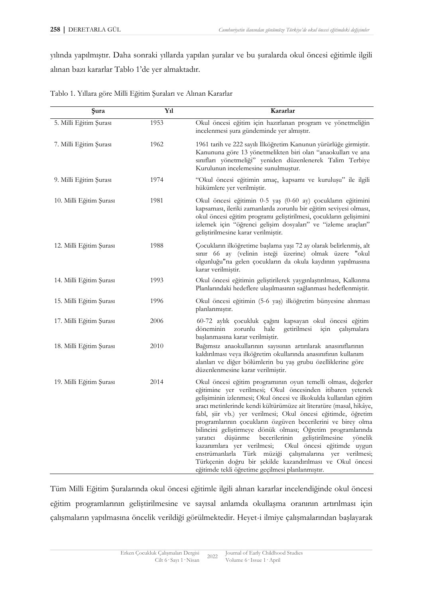yılında yapılmıştır. Daha sonraki yıllarda yapılan şuralar ve bu şuralarda okul öncesi eğitimle ilgili alınan bazı kararlar Tablo 1'de yer almaktadır.

| Şura                    | Yıl  | Kararlar                                                                                                                                                                                                                                                                                                                                                                                                                                                                                                                                                                                                                                                                                                                                                                            |
|-------------------------|------|-------------------------------------------------------------------------------------------------------------------------------------------------------------------------------------------------------------------------------------------------------------------------------------------------------------------------------------------------------------------------------------------------------------------------------------------------------------------------------------------------------------------------------------------------------------------------------------------------------------------------------------------------------------------------------------------------------------------------------------------------------------------------------------|
| 5. Milli Eğitim Şurası  | 1953 | Okul öncesi eğitim için hazırlanan program ve yönetmeliğin<br>incelenmesi şura gündeminde yer almıştır.                                                                                                                                                                                                                                                                                                                                                                                                                                                                                                                                                                                                                                                                             |
| 7. Milli Eğitim Şurası  | 1962 | 1961 tarih ve 222 sayılı İlköğretim Kanunun yürürlüğe girmiştir.<br>Kanununa göre 13 yönetmelikten biri olan "anaokulları ve ana<br>sınıfları yönetmeliği" yeniden düzenlenerek Talim Terbiye<br>Kurulunun incelemesine sunulmuştur.                                                                                                                                                                                                                                                                                                                                                                                                                                                                                                                                                |
| 9. Milli Eğitim Şurası  | 1974 | "Okul öncesi eğitimin amaç, kapsamı ve kuruluşu" ile ilgili<br>hükümlere yer verilmiştir.                                                                                                                                                                                                                                                                                                                                                                                                                                                                                                                                                                                                                                                                                           |
| 10. Milli Eğitim Şurası | 1981 | Okul öncesi eğitimin 0-5 yaş (0-60 ay) çocukların eğitimini<br>kapsaması, ileriki zamanlarda zorunlu bir eğitim seviyesi olması,<br>okul öncesi eğitim programı geliştirilmesi, çocukların gelişimini<br>izlemek için "öğrenci gelişim dosyaları" ve "izleme araçları"<br>geliştirilmesine karar verilmiştir.                                                                                                                                                                                                                                                                                                                                                                                                                                                                       |
| 12. Milli Eğitim Şurası | 1988 | Çocukların ilköğretime başlama yaşı 72 ay olarak belirlenmiş, alt<br>sınır 66 ay (velinin isteği üzerine) olmak üzere "okul<br>olgunluğu"na gelen çocukların da okula kaydının yapılmasına<br>karar verilmiştir.                                                                                                                                                                                                                                                                                                                                                                                                                                                                                                                                                                    |
| 14. Milli Eğitim Şurası | 1993 | Okul öncesi eğitimin geliştirilerek yaygınlaştırılması, Kalkınma<br>Planlarındaki hedeflere ulaşılmasının sağlanması hedeflenmiştir.                                                                                                                                                                                                                                                                                                                                                                                                                                                                                                                                                                                                                                                |
| 15. Milli Eğitim Şurası | 1996 | Okul öncesi eğitimin (5-6 yaş) ilköğretim bünyesine alınması<br>planlanmıştır.                                                                                                                                                                                                                                                                                                                                                                                                                                                                                                                                                                                                                                                                                                      |
| 17. Milli Eğitim Şurası | 2006 | 60-72 aylık çocukluk çağını kapsayan okul öncesi eğitim<br>zorunlu<br>hale<br>getirilmesi<br>için<br>döneminin<br>calismalara<br>başlanmasına karar verilmiştir.                                                                                                                                                                                                                                                                                                                                                                                                                                                                                                                                                                                                                    |
| 18. Milli Eğitim Şurası | 2010 | Bağımsız anaokullarının sayısının artırılarak anasınıflarının<br>kaldırılması veya ilköğretim okullarında anasınıfının kullanım<br>alanları ve diğer bölümlerin bu yaş grubu özelliklerine göre<br>düzenlenmesine karar verilmiştir.                                                                                                                                                                                                                                                                                                                                                                                                                                                                                                                                                |
| 19. Milli Eğitim Şurası | 2014 | Okul öncesi eğitim programının oyun temelli olması, değerler<br>eğitimine yer verilmesi; Okul öncesinden itibaren yetenek<br>gelişiminin izlenmesi; Okul öncesi ve ilkokulda kullanılan eğitim<br>aracı metinlerinde kendi kültürümüze ait literatüre (masal, hikâye,<br>fabl, șiir vb.) yer verilmesi; Okul öncesi eğitimde, öğretim<br>programlarının çocukların özgüven becerilerini ve birey olma<br>bilincini geliştirmeye dönük olması; Öğretim programlarında<br>düşünme<br>becerilerinin<br>geliştirilmesine<br>yönelik<br>yaratıcı<br>kazanımlara yer verilmesi;<br>Okul öncesi eğitimde uygun<br>enstrümanlarla Türk müziği çalışmalarına yer verilmesi;<br>Türkçenin doğru bir şekilde kazandırılması ve Okul öncesi<br>eğitimde tekli öğretime geçilmesi planlanmıştır. |

Tablo 1. Yıllara göre Milli Eğitim Şuraları ve Alınan Kararlar

Tüm Milli Eğitim Şuralarında okul öncesi eğitimle ilgili alınan kararlar incelendiğinde okul öncesi eğitim programlarının geliştirilmesine ve sayısal anlamda okullaşma oranının artırılması için çalışmaların yapılmasına öncelik verildiği görülmektedir. Heyet-i ilmiye çalışmalarından başlayarak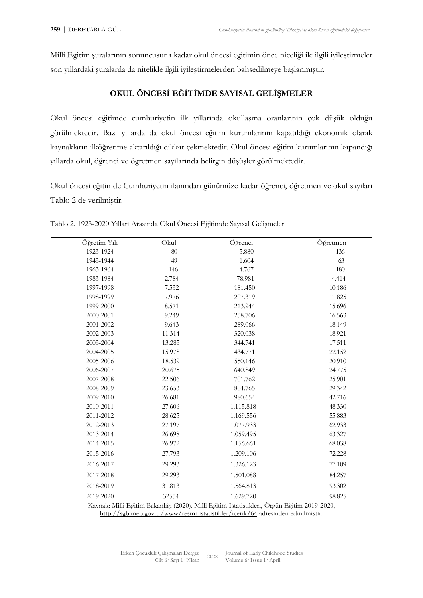Milli Eğitim şuralarının sonuncusuna kadar okul öncesi eğitimin önce niceliği ile ilgili iyileştirmeler son yıllardaki şuralarda da nitelikle ilgili iyileştirmelerden bahsedilmeye başlanmıştır.

## **OKUL ÖNCESİ EĞİTİMDE SAYISAL GELİŞMELER**

Okul öncesi eğitimde cumhuriyetin ilk yıllarında okullaşma oranlarının çok düşük olduğu görülmektedir. Bazı yıllarda da okul öncesi eğitim kurumlarının kapatıldığı ekonomik olarak kaynakların ilköğretime aktarıldığı dikkat çekmektedir. Okul öncesi eğitim kurumlarının kapandığı yıllarda okul, öğrenci ve öğretmen sayılarında belirgin düşüşler görülmektedir.

Okul öncesi eğitimde Cumhuriyetin ilanından günümüze kadar öğrenci, öğretmen ve okul sayıları Tablo 2 de verilmiştir.

| Öğretim Yılı | Okul   | Öğrenci   | <u>Öğretmen</u> |
|--------------|--------|-----------|-----------------|
| 1923-1924    | 80     | 5.880     | 136             |
| 1943-1944    | 49     | 1.604     | 63              |
| 1963-1964    | 146    | 4.767     | 180             |
| 1983-1984    | 2.784  | 78.981    | 4.414           |
| 1997-1998    | 7.532  | 181.450   | 10.186          |
| 1998-1999    | 7.976  | 207.319   | 11.825          |
| 1999-2000    | 8.571  | 213.944   | 15.696          |
| 2000-2001    | 9.249  | 258.706   | 16.563          |
| 2001-2002    | 9.643  | 289.066   | 18.149          |
| 2002-2003    | 11.314 | 320.038   | 18.921          |
| 2003-2004    | 13.285 | 344.741   | 17.511          |
| 2004-2005    | 15.978 | 434.771   | 22.152          |
| 2005-2006    | 18.539 | 550.146   | 20.910          |
| 2006-2007    | 20.675 | 640.849   | 24.775          |
| 2007-2008    | 22.506 | 701.762   | 25.901          |
| 2008-2009    | 23.653 | 804.765   | 29.342          |
| 2009-2010    | 26.681 | 980.654   | 42.716          |
| 2010-2011    | 27.606 | 1.115.818 | 48.330          |
| 2011-2012    | 28.625 | 1.169.556 | 55.883          |
| 2012-2013    | 27.197 | 1.077.933 | 62.933          |
| 2013-2014    | 26.698 | 1.059.495 | 63.327          |
| 2014-2015    | 26.972 | 1.156.661 | 68.038          |
| 2015-2016    | 27.793 | 1.209.106 | 72.228          |
| 2016-2017    | 29.293 | 1.326.123 | 77.109          |
| 2017-2018    | 29.293 | 1.501.088 | 84.257          |
| 2018-2019    | 31.813 | 1.564.813 | 93.302          |
| 2019-2020    | 32554  | 1.629.720 | 98.825          |

Tablo 2. 1923-2020 Yılları Arasında Okul Öncesi Eğitimde Sayısal Gelişmeler

Kaynak: Milli Eğitim Bakanlığı (2020). Milli Eğitim İstatistikleri, Örgün Eğitim 2019-2020, <http://sgb.meb.gov.tr/www/resmi-istatistikler/icerik/64> adresinden edinilmiştir.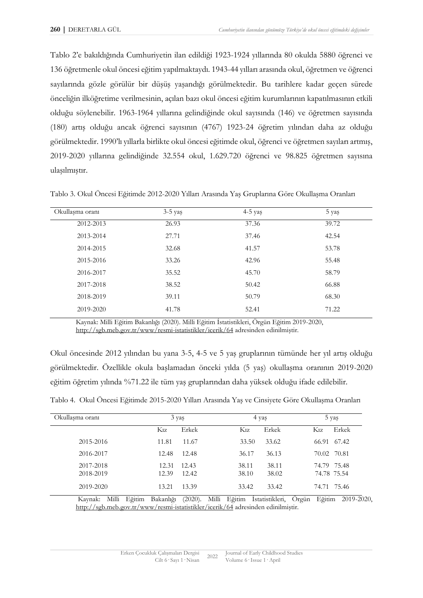Tablo 2'e bakıldığında Cumhuriyetin ilan edildiği 1923-1924 yıllarında 80 okulda 5880 öğrenci ve 136 öğretmenle okul öncesi eğitim yapılmaktaydı. 1943-44 yılları arasında okul, öğretmen ve öğrenci sayılarında gözle görülür bir düşüş yaşandığı görülmektedir. Bu tarihlere kadar geçen sürede önceliğin ilköğretime verilmesinin, açılan bazı okul öncesi eğitim kurumlarının kapatılmasının etkili olduğu söylenebilir. 1963-1964 yıllarına gelindiğinde okul sayısında (146) ve öğretmen sayısında (180) artış olduğu ancak öğrenci sayısının (4767) 1923-24 öğretim yılından daha az olduğu görülmektedir. 1990'lı yıllarla birlikte okul öncesi eğitimde okul, öğrenci ve öğretmen sayıları artmış, 2019-2020 yıllarına gelindiğinde 32.554 okul, 1.629.720 öğrenci ve 98.825 öğretmen sayısına ulaşılmıştır.

|  |  | Tablo 3. Okul Öncesi Eğitimde 2012-2020 Yılları Arasında Yaş Gruplarına Göre Okullaşma Oranları |  |  |  |  |
|--|--|-------------------------------------------------------------------------------------------------|--|--|--|--|
|  |  |                                                                                                 |  |  |  |  |
|  |  |                                                                                                 |  |  |  |  |
|  |  |                                                                                                 |  |  |  |  |

| Okullaşma oranı | $3-5$ yaş | $4-5$ yaş | 5 yaş |
|-----------------|-----------|-----------|-------|
| 2012-2013       | 26.93     | 37.36     | 39.72 |
| 2013-2014       | 27.71     | 37.46     | 42.54 |
| 2014-2015       | 32.68     | 41.57     | 53.78 |
| 2015-2016       | 33.26     | 42.96     | 55.48 |
| 2016-2017       | 35.52     | 45.70     | 58.79 |
| 2017-2018       | 38.52     | 50.42     | 66.88 |
| 2018-2019       | 39.11     | 50.79     | 68.30 |
| 2019-2020       | 41.78     | 52.41     | 71.22 |

Kaynak: Milli Eğitim Bakanlığı (2020). Milli Eğitim İstatistikleri, Örgün Eğitim 2019-2020, <http://sgb.meb.gov.tr/www/resmi-istatistikler/icerik/64> adresinden edinilmiştir.

Okul öncesinde 2012 yılından bu yana 3-5, 4-5 ve 5 yaş gruplarının tümünde her yıl artış olduğu görülmektedir. Özellikle okula başlamadan önceki yılda (5 yaş) okullaşma oranının 2019-2020 eğitim öğretim yılında %71.22 ile tüm yaş gruplarından daha yüksek olduğu ifade edilebilir.

Tablo 4. Okul Öncesi Eğitimde 2015-2020 Yılları Arasında Yaş ve Cinsiyete Göre Okullaşma Oranları

| Okullasma orani        | 3 yaş            |                | 4 yaş            |                |                  | 5 yaş                      |
|------------------------|------------------|----------------|------------------|----------------|------------------|----------------------------|
|                        | K <sub>1</sub> z | Erkek          | K <sub>1</sub> z | Erkek          | K <sub>1</sub> z | Erkek                      |
| 2015-2016              | 11.81            | 11.67          | 33.50            | 33.62          |                  | 66.91 67.42                |
| 2016-2017              | 12.48            | 12.48          | 36.17            | 36.13          |                  | 70.02 70.81                |
| 2017-2018<br>2018-2019 | 12.31<br>12.39   | 12.43<br>12.42 | 38.11<br>38.10   | 38.11<br>38.02 |                  | 74.79 75.48<br>74.78 75.54 |
| 2019-2020              | 13.21            | 13.39          | 33.42            | 33.42          |                  | 74.71 75.46                |

Kaynak: Milli Eğitim Bakanlığı (2020). Milli Eğitim İstatistikleri, Örgün Eğitim 2019-2020, <http://sgb.meb.gov.tr/www/resmi-istatistikler/icerik/64> adresinden edinilmiştir.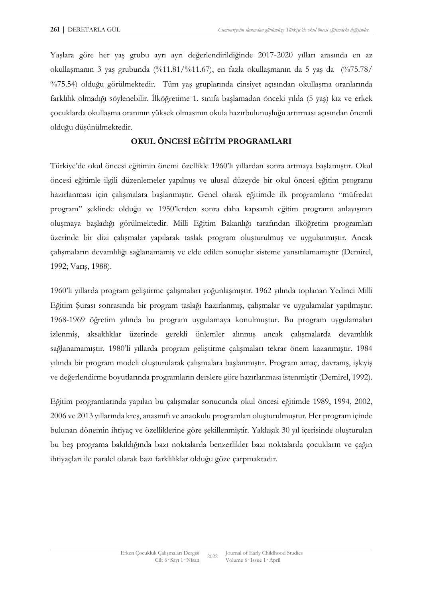Yaşlara göre her yaş grubu ayrı ayrı değerlendirildiğinde 2017-2020 yılları arasında en az okullaşmanın 3 yaş grubunda (%11.81/%11.67), en fazla okullaşmanın da 5 yaş da (%75.78/ %75.54) olduğu görülmektedir. Tüm yaş gruplarında cinsiyet açısından okullaşma oranlarında farklılık olmadığı söylenebilir. İlköğretime 1. sınıfa başlamadan önceki yılda (5 yaş) kız ve erkek çocuklarda okullaşma oranının yüksek olmasının okula hazırbulunuşluğu artırması açısından önemli olduğu düşünülmektedir.

## **OKUL ÖNCESİ EĞİTİM PROGRAMLARI**

Türkiye'de okul öncesi eğitimin önemi özellikle 1960'lı yıllardan sonra artmaya başlamıştır. Okul öncesi eğitimle ilgili düzenlemeler yapılmış ve ulusal düzeyde bir okul öncesi eğitim programı hazırlanması için çalışmalara başlanmıştır. Genel olarak eğitimde ilk programların "müfredat program" şeklinde olduğu ve 1950'lerden sonra daha kapsamlı eğitim programı anlayışının oluşmaya başladığı görülmektedir. Milli Eğitim Bakanlığı tarafından ilköğretim programları üzerinde bir dizi çalışmalar yapılarak taslak program oluşturulmuş ve uygulanmıştır. Ancak çalışmaların devamlılığı sağlanamamış ve elde edilen sonuçlar sisteme yansıtılamamıştır (Demirel, 1992; Varış, 1988).

1960'lı yıllarda program geliştirme çalışmaları yoğunlaşmıştır. 1962 yılında toplanan Yedinci Milli Eğitim Şurası sonrasında bir program taslağı hazırlanmış, çalışmalar ve uygulamalar yapılmıştır. 1968-1969 öğretim yılında bu program uygulamaya konulmuştur. Bu program uygulamaları izlenmiş, aksaklıklar üzerinde gerekli önlemler alınmış ancak çalışmalarda devamlılık sağlanamamıştır. 1980'li yıllarda program geliştirme çalışmaları tekrar önem kazanmıştır. 1984 yılında bir program modeli oluşturularak çalışmalara başlanmıştır. Program amaç, davranış, işleyiş ve değerlendirme boyutlarında programların derslere göre hazırlanması istenmiştir (Demirel, 1992).

Eğitim programlarında yapılan bu çalışmalar sonucunda okul öncesi eğitimde 1989, 1994, 2002, 2006 ve 2013 yıllarında kreş, anasınıfı ve anaokulu programları oluşturulmuştur. Her program içinde bulunan dönemin ihtiyaç ve özelliklerine göre şekillenmiştir. Yaklaşık 30 yıl içerisinde oluşturulan bu beş programa bakıldığında bazı noktalarda benzerlikler bazı noktalarda çocukların ve çağın ihtiyaçları ile paralel olarak bazı farklılıklar olduğu göze çarpmaktadır.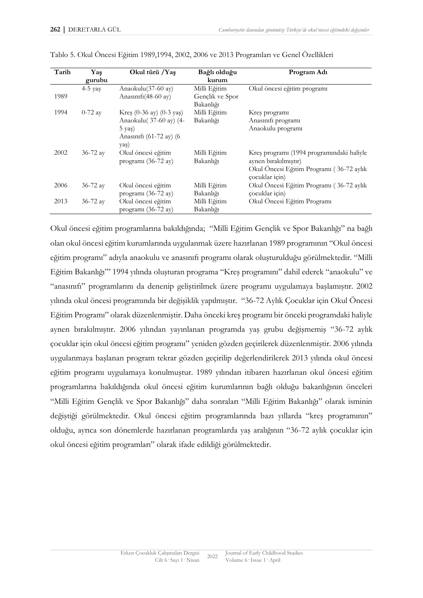| Tarih | Yaş          | Okul türü /Yaş                              | Bağlı olduğu    | Program Adı                               |
|-------|--------------|---------------------------------------------|-----------------|-------------------------------------------|
|       | gurubu       |                                             | kurum           |                                           |
|       | $4-5$ yas    | Anaokulu(37-60 ay)                          | Milli Eğitim    | Okul öncesi eğitim programı               |
| 1989  |              | Anasınıfı $(48-60 \text{ av})$              | Gençlik ve Spor |                                           |
|       |              |                                             | Bakanlığı       |                                           |
| 1994  | $0-72$ ay    | Kres $(0-36 \text{ ay})$ $(0-3 \text{ ya})$ | Milli Eğitim    | Kres programi                             |
|       |              | Anaokulu(37-60 ay) (4-                      | Bakanlığı       | Anasınıfı programı                        |
|       |              | $5 \text{ yas}$                             |                 | Anaokulu programı                         |
|       |              | Anasınıfı (61-72 ay) (6                     |                 |                                           |
|       |              | yaş)                                        |                 |                                           |
| 2002  | $36 - 72$ ay | Okul öncesi eğitim                          | Milli Eğitim    | Kreş programı (1994 programındaki haliyle |
|       |              | programı (36-72 ay)                         | Bakanlığı       | aynen birakılmıştır)                      |
|       |              |                                             |                 | Okul Öncesi Eğitim Programı (36-72 aylık  |
|       |              |                                             |                 | cocuklar için)                            |
| 2006  | 36-72 ay     | Okul öncesi eğitim                          | Milli Eğitim    | Okul Öncesi Eğitim Programı (36-72 aylık  |
|       |              | programı (36-72 ay)                         | Bakanlığı       | cocuklar için)                            |
| 2013  | $36 - 72$ ay | Okul öncesi eğitim                          | Milli Eğitim    | Okul Öncesi Eğitim Programı               |
|       |              | programı (36-72 ay)                         | Bakanlığı       |                                           |

|  |  |  | Tablo 5. Okul Öncesi Eğitim 1989,1994, 2002, 2006 ve 2013 Programları ve Genel Özellikleri |  |
|--|--|--|--------------------------------------------------------------------------------------------|--|
|  |  |  |                                                                                            |  |
|  |  |  |                                                                                            |  |
|  |  |  |                                                                                            |  |

Okul öncesi eğitim programlarına bakıldığında; "Milli Eğitim Gençlik ve Spor Bakanlığı" na bağlı olan okul öncesi eğitim kurumlarında uygulanmak üzere hazırlanan 1989 programının "Okul öncesi eğitim programı" adıyla anaokulu ve anasınıfı programı olarak oluşturulduğu görülmektedir. "Milli Eğitim Bakanlığı"' 1994 yılında oluşturan programa "Kreş programını" dahil ederek "anaokulu" ve "anasınıfı" programlarını da denenip geliştirilmek üzere programı uygulamaya başlamıştır. 2002 yılında okul öncesi programında bir değişiklik yapılmıştır. "36-72 Aylık Çocuklar için Okul Öncesi Eğitim Programı" olarak düzenlenmiştir. Daha önceki kreş programı bir önceki programdaki haliyle aynen bırakılmıştır. 2006 yılından yayınlanan programda yaş grubu değişmemiş "36-72 aylık çocuklar için okul öncesi eğitim programı" yeniden gözden geçirilerek düzenlenmiştir. 2006 yılında uygulanmaya başlanan program tekrar gözden geçirilip değerlendirilerek 2013 yılında okul öncesi eğitim programı uygulamaya konulmuştur. 1989 yılından itibaren hazırlanan okul öncesi eğitim programlarına bakıldığında okul öncesi eğitim kurumlarının bağlı olduğu bakanlığının önceleri "Milli Eğitim Gençlik ve Spor Bakanlığı" daha sonraları "Milli Eğitim Bakanlığı" olarak isminin değiştiği görülmektedir. Okul öncesi eğitim programlarında bazı yıllarda "kreş programının" olduğu, ayrıca son dönemlerde hazırlanan programlarda yaş aralığının "36-72 aylık çocuklar için okul öncesi eğitim programları" olarak ifade edildiği görülmektedir.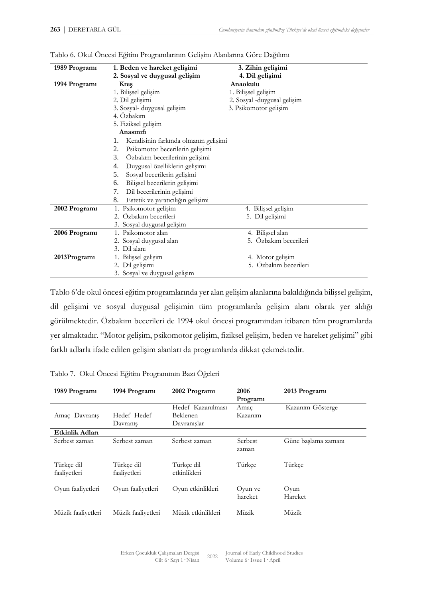| 1989 Programi | 1. Beden ve hareket gelişimi               | 3. Zihin gelişimi           |  |
|---------------|--------------------------------------------|-----------------------------|--|
|               | 2. Sosyal ve duygusal gelişim              | 4. Dil gelişimi             |  |
| 1994 Programi | <b>Kres</b>                                | Anaokulu                    |  |
|               | 1. Bilişsel gelişim                        | 1. Bilişsel gelişim         |  |
|               | 2. Dil gelişimi                            | 2. Sosyal -duygusal gelişim |  |
|               | 3. Sosyal- duygusal gelişim                | 3. Psikomotor gelişim       |  |
|               | 4. Özbakım                                 |                             |  |
|               | 5. Fiziksel gelişim                        |                             |  |
|               | Anasınıfı                                  |                             |  |
|               | Kendisinin farkında olmanın gelişimi<br>1. |                             |  |
|               | 2.<br>Psikomotor becerilerin gelişimi      |                             |  |
|               | 3.<br>Özbakım becerilerinin gelişimi       |                             |  |
|               | Duygusal özelliklerin gelişimi<br>4.       |                             |  |
|               | 5.<br>Sosyal becerilerin gelişimi          |                             |  |
|               | Bilişsel becerilerin gelişimi<br>6.        |                             |  |
|               | 7.<br>Dil becerilerinin gelişimi           |                             |  |
|               | Estetik ve yaratıcılığın gelişimi<br>8.    |                             |  |
| 2002 Programi | 1. Psikomotor gelişim                      | 4. Bilişsel gelişim         |  |
|               | 2. Özbakım becerileri                      | 5. Dil gelişimi             |  |
|               | 3. Sosyal duygusal gelişim                 |                             |  |
| 2006 Programi | 1. Psikomotor alan                         | 4. Bilişsel alan            |  |
|               | 2. Sosyal duygusal alan                    | 5. Özbakım becerileri       |  |
|               | 3. Dil alanı                               |                             |  |
| 2013Programi  | 1. Bilişsel gelişim                        | 4. Motor gelişim            |  |
|               | 2. Dil gelişimi                            | 5. Özbakım becerileri       |  |
|               | 3. Sosyal ve duygusal gelişim              |                             |  |

Tablo 6. Okul Öncesi Eğitim Programlarının Gelişim Alanlarına Göre Dağılımı

Tablo 6'de okul öncesi eğitim programlarında yer alan gelişim alanlarına bakıldığında bilişsel gelişim, dil gelişimi ve sosyal duygusal gelişimin tüm programlarda gelişim alanı olarak yer aldığı görülmektedir. Özbakım becerileri de 1994 okul öncesi programından itibaren tüm programlarda yer almaktadır. "Motor gelişim, psikomotor gelişim, fiziksel gelişim, beden ve hareket gelişimi" gibi farklı adlarla ifade edilen gelişim alanları da programlarda dikkat çekmektedir.

| 1989 Programi              | 1994 Programi              | 2002 Programi                                        | 2006<br>Programi   | 2013 Programi       |
|----------------------------|----------------------------|------------------------------------------------------|--------------------|---------------------|
| Amac -Davranis             | Hedef-Hedef<br>Davranis    | Hedef- Kazanılması<br><b>Beklenen</b><br>Davranıslar | Amac-<br>Kazanım   | Kazanım-Gösterge    |
| Etkinlik Adları            |                            |                                                      |                    |                     |
| Serbest zaman              | Serbest zaman              | Serbest zaman                                        | Serbest<br>zaman   | Güne baslama zamanı |
| Türkçe dil<br>faaliyetleri | Türkçe dil<br>faaliyetleri | Türkçe dil<br>etkinlikleri                           | Türkçe             | Türkçe              |
| Oyun faaliyetleri          | Oyun faaliyetleri          | Oyun etkinlikleri                                    | Oyun ve<br>hareket | Oyun<br>Hareket     |
| Müzik faaliyetleri         | Müzik faaliyetleri         | Müzik etkinlikleri                                   | Müzik              | Müzik               |

Tablo 7. Okul Öncesi Eğitim Programının Bazı Öğeleri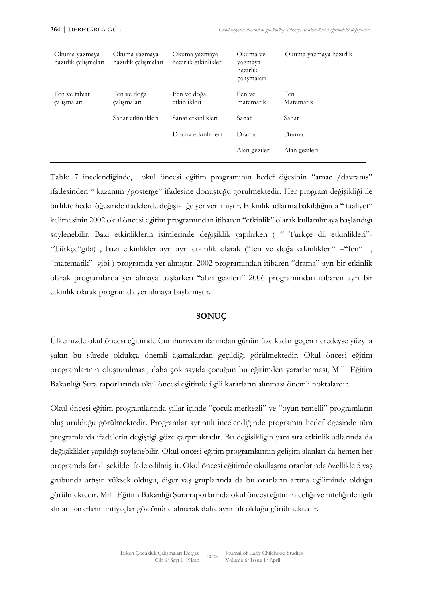| Okuma yazmaya<br>hazırlık çalışmaları | Okuma yazmaya<br>hazırlık çalışmaları | Okuma yazmaya<br>hazırlık etkinlikleri | Okuma ve<br>yazmaya<br>hazırlık<br>çalışmaları | Okuma yazmaya hazırlık |
|---------------------------------------|---------------------------------------|----------------------------------------|------------------------------------------------|------------------------|
| Fen ve tabiat<br>calısmaları          | Fen ve doğa<br>çalışmaları            | Fen ve doğa<br>etkinlikleri            | Fen ve<br>matematik                            | Fen.<br>Matematik      |
|                                       | Sanat etkinlikleri                    | Sanat etkinlikleri                     | Sanat                                          | Sanat                  |
|                                       |                                       | Drama etkinlikleri                     | Drama                                          | Drama                  |
|                                       |                                       |                                        | Alan gezileri                                  | Alan gezileri          |
|                                       |                                       |                                        |                                                |                        |

Tablo 7 incelendiğinde, okul öncesi eğitim programının hedef öğesinin "amaç /davranış" ifadesinden " kazanım /gösterge" ifadesine dönüştüğü görülmektedir. Her program değişikliği ile birlikte hedef öğesinde ifadelerde değişikliğe yer verilmiştir. Etkinlik adlarına bakıldığında " faaliyet" kelimesinin 2002 okul öncesi eğitim programından itibaren "etkinlik" olarak kullanılmaya başlandığı söylenebilir. Bazı etkinliklerin isimlerinde değişiklik yapılırken ( " Türkçe dil etkinlikleri"- "Türkçe"gibi) , bazı etkinlikler ayrı ayrı etkinlik olarak ("fen ve doğa etkinlikleri" –"fen" , "matematik" gibi ) programda yer almıştır. 2002 programından itibaren "drama" ayrı bir etkinlik olarak programlarda yer almaya başlarken "alan gezileri" 2006 programından itibaren ayrı bir etkinlik olarak programda yer almaya başlamıştır.

### **SONUÇ**

Ülkemizde okul öncesi eğitimde Cumhuriyetin ilanından günümüze kadar geçen neredeyse yüzyıla yakın bu sürede oldukça önemli aşamalardan geçildiği görülmektedir. Okul öncesi eğitim programlarının oluşturulması, daha çok sayıda çocuğun bu eğitimden yararlanması, Milli Eğitim Bakanlığı Şura raporlarında okul öncesi eğitimle ilgili kararların alınması önemli noktalardır.

Okul öncesi eğitim programlarında yıllar içinde "çocuk merkezli" ve "oyun temelli" programların oluşturulduğu görülmektedir. Programlar ayrıntılı incelendiğinde programın hedef ögesinde tüm programlarda ifadelerin değiştiği göze çarpmaktadır. Bu değişikliğin yanı sıra etkinlik adlarında da değişiklikler yapıldığı söylenebilir. Okul öncesi eğitim programlarının gelişim alanları da hemen her programda farklı şekilde ifade edilmiştir. Okul öncesi eğitimde okullaşma oranlarında özellikle 5 yaş grubunda artışın yüksek olduğu, diğer yaş gruplarında da bu oranların artma eğiliminde olduğu görülmektedir. Milli Eğitim Bakanlığı Şura raporlarında okul öncesi eğitim niceliği ve niteliği ile ilgili alınan kararların ihtiyaçlar göz önüne alınarak daha ayrıntılı olduğu görülmektedir.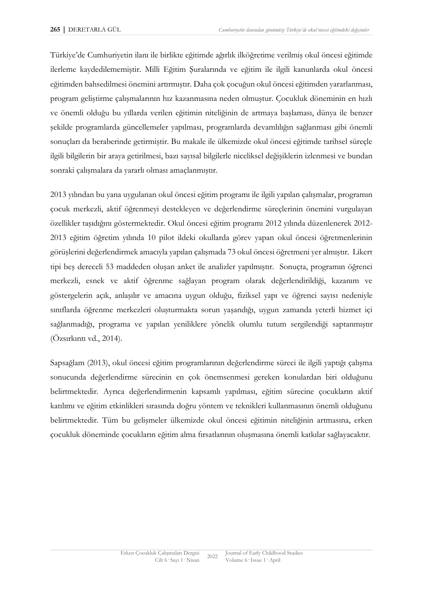Türkiye'de Cumhuriyetin ilanı ile birlikte eğitimde ağırlık ilköğretime verilmiş okul öncesi eğitimde ilerleme kaydedilememiştir. Milli Eğitim Şuralarında ve eğitim ile ilgili kanunlarda okul öncesi eğitimden bahsedilmesi önemini artırmıştır. Daha çok çocuğun okul öncesi eğitimden yararlanması, program geliştirme çalışmalarının hız kazanmasına neden olmuştur. Çocukluk döneminin en hızlı ve önemli olduğu bu yıllarda verilen eğitimin niteliğinin de artmaya başlaması, dünya ile benzer şekilde programlarda güncellemeler yapılması, programlarda devamlılığın sağlanması gibi önemli sonuçları da beraberinde getirmiştir. Bu makale ile ülkemizde okul öncesi eğitimde tarihsel süreçle ilgili bilgilerin bir araya getirilmesi, bazı sayısal bilgilerle niceliksel değişiklerin izlenmesi ve bundan sonraki çalışmalara da yararlı olması amaçlanmıştır.

2013 yılından bu yana uygulanan okul öncesi eğitim programı ile ilgili yapılan çalışmalar, programın çocuk merkezli, aktif öğrenmeyi destekleyen ve değerlendirme süreçlerinin önemini vurgulayan özellikler taşıdığını göstermektedir. Okul öncesi eğitim programı 2012 yılında düzenlenerek 2012- 2013 eğitim öğretim yılında 10 pilot ildeki okullarda görev yapan okul öncesi öğretmenlerinin görüşlerini değerlendirmek amacıyla yapılan çalışmada 73 okul öncesi öğretmeni yer almıştır. Likert tipi beş dereceli 53 maddeden oluşan anket ile analizler yapılmıştır. Sonuçta, programın öğrenci merkezli, esnek ve aktif öğrenme sağlayan program olarak değerlendirildiği, kazanım ve göstergelerin açık, anlaşılır ve amacına uygun olduğu, fiziksel yapı ve öğrenci sayısı nedeniyle sınıflarda öğrenme merkezleri oluşturmakta sorun yaşandığı, uygun zamanda yeterli hizmet içi sağlanmadığı, programa ve yapılan yeniliklere yönelik olumlu tutum sergilendiği saptanmıştır (Özsırkıntı vd., 2014).

Sapsağlam (2013), okul öncesi eğitim programlarının değerlendirme süreci ile ilgili yaptığı çalışma sonucunda değerlendirme sürecinin en çok önemsenmesi gereken konulardan biri olduğunu belirtmektedir. Ayrıca değerlendirmenin kapsamlı yapılması, eğitim sürecine çocukların aktif katılımı ve eğitim etkinlikleri sırasında doğru yöntem ve teknikleri kullanmasının önemli olduğunu belirtmektedir. Tüm bu gelişmeler ülkemizde okul öncesi eğitimin niteliğinin artmasına, erken çocukluk döneminde çocukların eğitim alma fırsatlarının oluşmasına önemli katkılar sağlayacaktır.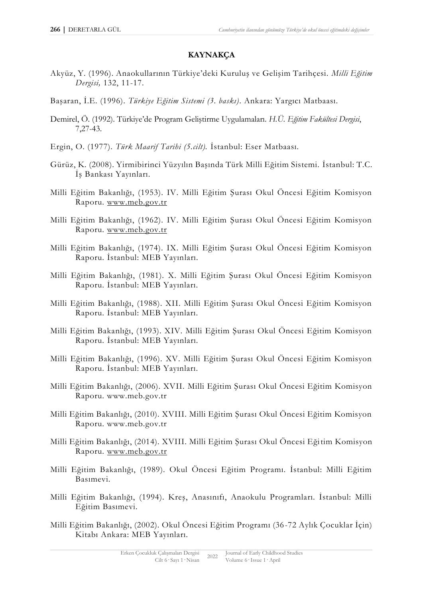## **KAYNAKÇA**

- Akyüz, Y. (1996). Anaokullarının Türkiye'deki Kuruluş ve Gelişim Tarihçesi. *Milli Eğitim Dergisi,* 132, 11-17.
- Başaran, İ.E. (1996). *Türkiye Eğitim Sistemi (3. baskı)*. Ankara: Yargıcı Matbaası.
- Demirel, Ö. (1992). Türkiye'de Program Geliştirme Uygulamaları. *H.Ü. Eğitim Fakültesi Dergisi*, 7,27-43.
- Ergin, O. (1977). *Türk Maarif Tarihi (5.cilt).* İstanbul: Eser Matbaası.
- Gürüz, K. (2008). Yirmibirinci Yüzyılın Başında Türk Milli Eğitim Sistemi. İstanbul: T.C. İş Bankası Yayınları.
- Milli Eğitim Bakanlığı, (1953). IV. Milli Eğitim Şurası Okul Öncesi Eğitim Komisyon Raporu. [www.meb.gov.tr](http://www.meb.gov.tr/)
- Milli Eğitim Bakanlığı, (1962). IV. Milli Eğitim Şurası Okul Öncesi Eğitim Komisyon Raporu. [www.meb.gov.tr](http://www.meb.gov.tr/)
- Milli Eğitim Bakanlığı, (1974). IX. Milli Eğitim Şurası Okul Öncesi Eğitim Komisyon Raporu. İstanbul: MEB Yayınları.
- Milli Eğitim Bakanlığı, (1981). X. Milli Eğitim Şurası Okul Öncesi Eğitim Komisyon Raporu. İstanbul: MEB Yayınları.
- Milli Eğitim Bakanlığı, (1988). XII. Milli Eğitim Şurası Okul Öncesi Eğitim Komisyon Raporu. İstanbul: MEB Yayınları.
- Milli Eğitim Bakanlığı, (1993). XIV. Milli Eğitim Şurası Okul Öncesi Eğitim Komisyon Raporu. İstanbul: MEB Yayınları.
- Milli Eğitim Bakanlığı, (1996). XV. Milli Eğitim Şurası Okul Öncesi Eğitim Komisyon Raporu. İstanbul: MEB Yayınları.
- Milli Eğitim Bakanlığı, (2006). XVII. Milli Eğitim Şurası Okul Öncesi Eğitim Komisyon Raporu. www.meb.gov.tr
- Milli Eğitim Bakanlığı, (2010). XVIII. Milli Eğitim Şurası Okul Öncesi Eğitim Komisyon Raporu. www.meb.gov.tr
- Milli Eğitim Bakanlığı, (2014). XVIII. Milli Eğitim Şurası Okul Öncesi Eğitim Komisyon Raporu. [www.meb.gov.tr](http://www.meb.gov.tr/)
- Milli Eğitim Bakanlığı, (1989). Okul Öncesi Eğitim Programı. İstanbul: Milli Eğitim Basımevi.
- Milli Eğitim Bakanlığı, (1994). Kreş, Anasınıfı, Anaokulu Programları. İstanbul: Milli Eğitim Basımevi.
- Milli Eğitim Bakanlığı, (2002). Okul Öncesi Eğitim Programı (36-72 Aylık Çocuklar İçin) Kitabı Ankara: MEB Yayınları.